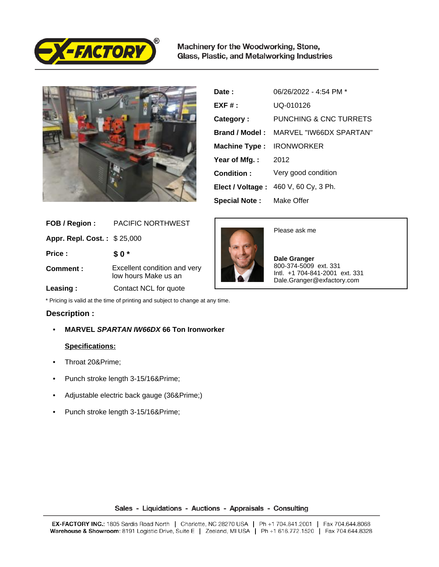

Machinery for the Woodworking, Stone, Glass, Plastic, and Metalworking Industries



| Date :                | 06/26/2022 - 4:54 PM *  |
|-----------------------|-------------------------|
| $EXF#$ :              | UQ-010126               |
| Category:             | PUNCHING & CNC TURRETS  |
| Brand / Model:        | MARVEL "IW66DX SPARTAN" |
| <b>Machine Type:</b>  | <b>IRONWORKER</b>       |
| Year of Mfg.:         | 2012                    |
| Condition:            | Very good condition     |
| Elect / Voltage :     | 460 V, 60 Cy, 3 Ph.     |
| <b>Special Note :</b> | Make Offer              |

| FOB / Region:               | <b>PACIFIC NORTHWEST</b>                             |
|-----------------------------|------------------------------------------------------|
| Appr. Repl. Cost.: \$25,000 |                                                      |
| Price:                      | \$0*                                                 |
| Comment:                    | Excellent condition and very<br>low hours Make us an |
| Leasing:                    | Contact NCL for quote                                |



Please ask me

 **Dale Granger** 800-374-5009 ext. 331 Intl. +1 704-841-2001 ext. 331 Dale.Granger@exfactory.com

\* Pricing is valid at the time of printing and subject to change at any time.

## **Description :**

• **MARVEL SPARTAN IW66DX 66 Ton Ironworker**

## **Specifications:**

- Throat 20″
- Punch stroke length 3-15/16″
- Adjustable electric back gauge (36″)
- Punch stroke length 3-15/16″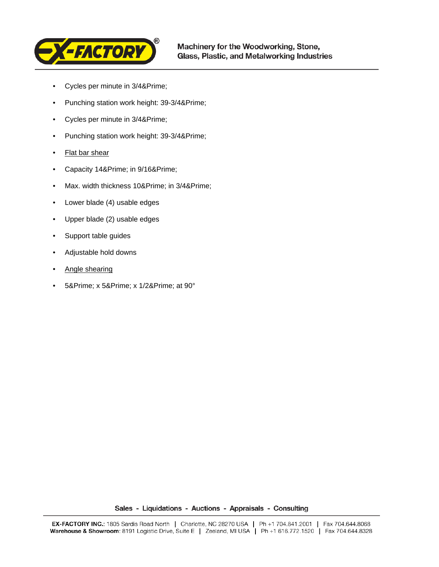

- Cycles per minute in 3/4″
- Punching station work height: 39-3/4″
- Cycles per minute in 3/4″
- Punching station work height: 39-3/4″
- **Flat bar shear**
- Capacity 14& Prime; in 9/16& Prime;
- Max. width thickness 10& Prime; in 3/4& Prime;
- Lower blade (4) usable edges
- Upper blade (2) usable edges
- Support table guides
- Adjustable hold downs
- Angle shearing
- 5& Prime; x 5& Prime; x 1/2& Prime; at 90°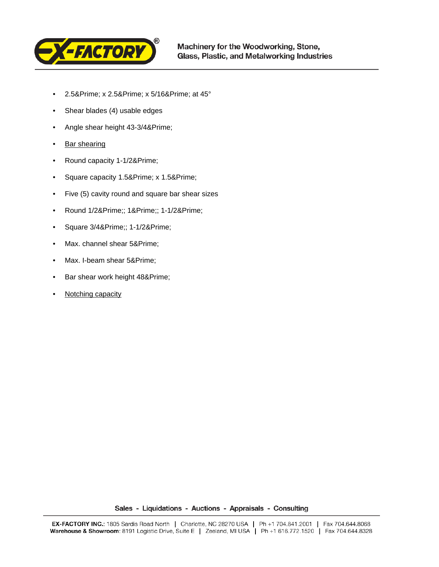

- 2.5& Prime; x 2.5& Prime; x 5/16& Prime; at 45°
- Shear blades (4) usable edges
- Angle shear height 43-3/4″
- Bar shearing
- Round capacity 1-1/2″
- Square capacity 1.5& Prime; x 1.5& Prime;
- Five (5) cavity round and square bar shear sizes
- Round 1/2″; 1″; 1-1/2″
- Square  $3/4$ ″;  $1-1/2$ ″
- Max. channel shear 5& Prime;
- Max. I-beam shear 5& Prime;
- Bar shear work height 48″
- **Notching capacity**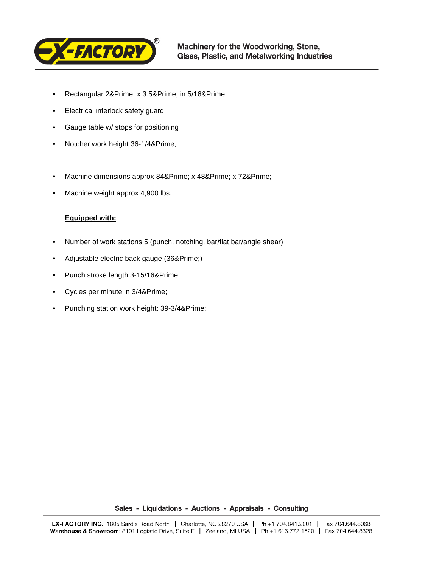

- Rectangular 2& Prime; x 3.5& Prime; in 5/16& Prime;
- Electrical interlock safety guard
- Gauge table w/ stops for positioning
- Notcher work height 36-1/4″
- Machine dimensions approx 84& Prime; x 48& Prime; x 72& Prime;
- Machine weight approx 4,900 lbs.

## **Equipped with:**

- Number of work stations 5 (punch, notching, bar/flat bar/angle shear)
- Adjustable electric back gauge (36″)
- Punch stroke length 3-15/16″
- Cycles per minute in 3/4″
- Punching station work height: 39-3/4″